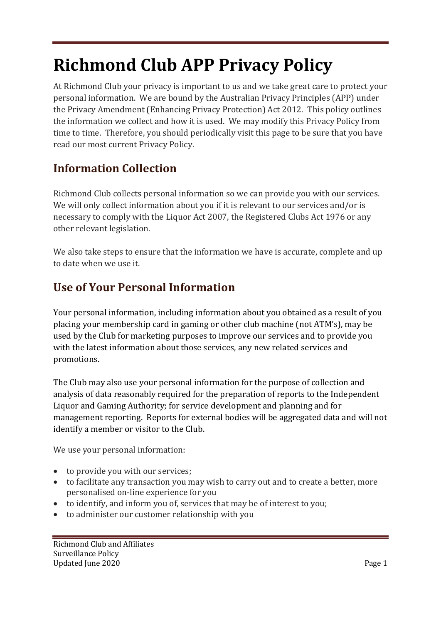# **Richmond Club APP Privacy Policy**

At Richmond Club your privacy is important to us and we take great care to protect your personal information. We are bound by the Australian Privacy Principles (APP) under the Privacy Amendment (Enhancing Privacy Protection) Act 2012. This policy outlines the information we collect and how it is used. We may modify this Privacy Policy from time to time. Therefore, you should periodically visit this page to be sure that you have read our most current Privacy Policy.

## **Information Collection**

Richmond Club collects personal information so we can provide you with our services. We will only collect information about you if it is relevant to our services and/or is necessary to comply with the Liquor Act 2007, the Registered Clubs Act 1976 or any other relevant legislation.

We also take steps to ensure that the information we have is accurate, complete and up to date when we use it.

#### **Use of Your Personal Information**

Your personal information, including information about you obtained as a result of you placing your membership card in gaming or other club machine (not ATM's), may be used by the Club for marketing purposes to improve our services and to provide you with the latest information about those services, any new related services and promotions.

The Club may also use your personal information for the purpose of collection and analysis of data reasonably required for the preparation of reports to the Independent Liquor and Gaming Authority; for service development and planning and for management reporting. Reports for external bodies will be aggregated data and will not identify a member or visitor to the Club.

We use your personal information:

- to provide you with our services;
- to facilitate any transaction you may wish to carry out and to create a better, more personalised on-line experience for you
- to identify, and inform you of, services that may be of interest to you;
- to administer our customer relationship with you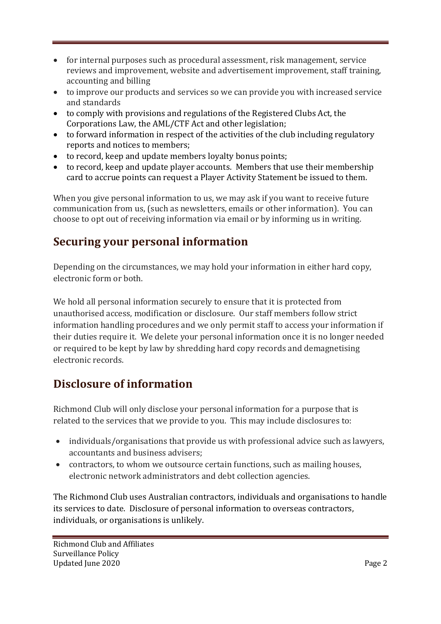- for internal purposes such as procedural assessment, risk management, service reviews and improvement, website and advertisement improvement, staff training, accounting and billing
- to improve our products and services so we can provide you with increased service and standards
- to comply with provisions and regulations of the Registered Clubs Act, the Corporations Law, the AML/CTF Act and other legislation;
- to forward information in respect of the activities of the club including regulatory reports and notices to members;
- to record, keep and update members loyalty bonus points;
- to record, keep and update player accounts. Members that use their membership card to accrue points can request a Player Activity Statement be issued to them.

When you give personal information to us, we may ask if you want to receive future communication from us, (such as newsletters, emails or other information). You can choose to opt out of receiving information via email or by informing us in writing.

## **Securing your personal information**

Depending on the circumstances, we may hold your information in either hard copy, electronic form or both.

We hold all personal information securely to ensure that it is protected from unauthorised access, modification or disclosure. Our staff members follow strict information handling procedures and we only permit staff to access your information if their duties require it. We delete your personal information once it is no longer needed or required to be kept by law by shredding hard copy records and demagnetising electronic records.

## **Disclosure of information**

Richmond Club will only disclose your personal information for a purpose that is related to the services that we provide to you. This may include disclosures to:

- individuals/organisations that provide us with professional advice such as lawyers, accountants and business advisers;
- contractors, to whom we outsource certain functions, such as mailing houses, electronic network administrators and debt collection agencies.

The Richmond Club uses Australian contractors, individuals and organisations to handle its services to date. Disclosure of personal information to overseas contractors, individuals, or organisations is unlikely.